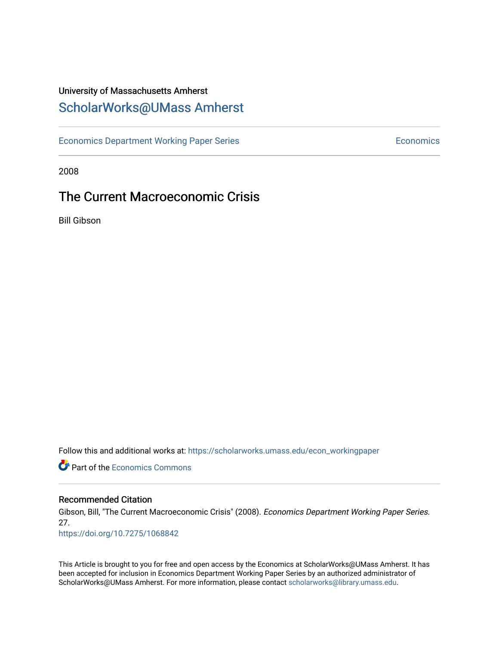### University of Massachusetts Amherst [ScholarWorks@UMass Amherst](https://scholarworks.umass.edu/)

[Economics Department Working Paper Series](https://scholarworks.umass.edu/econ_workingpaper) **Economics** Economics

2008

### The Current Macroeconomic Crisis

Bill Gibson

Follow this and additional works at: [https://scholarworks.umass.edu/econ\\_workingpaper](https://scholarworks.umass.edu/econ_workingpaper?utm_source=scholarworks.umass.edu%2Fecon_workingpaper%2F27&utm_medium=PDF&utm_campaign=PDFCoverPages) 

**C** Part of the [Economics Commons](http://network.bepress.com/hgg/discipline/340?utm_source=scholarworks.umass.edu%2Fecon_workingpaper%2F27&utm_medium=PDF&utm_campaign=PDFCoverPages)

#### Recommended Citation

Gibson, Bill, "The Current Macroeconomic Crisis" (2008). Economics Department Working Paper Series. 27.

<https://doi.org/10.7275/1068842>

This Article is brought to you for free and open access by the Economics at ScholarWorks@UMass Amherst. It has been accepted for inclusion in Economics Department Working Paper Series by an authorized administrator of ScholarWorks@UMass Amherst. For more information, please contact [scholarworks@library.umass.edu.](mailto:scholarworks@library.umass.edu)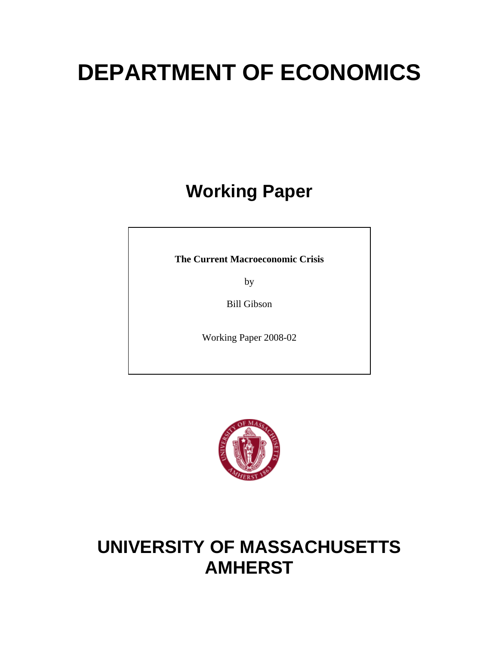# **DEPARTMENT OF ECONOMICS**

## **Working Paper**

**The Current Macroeconomic Crisis** 

by

Bill Gibson

Working Paper 2008-02



## **UNIVERSITY OF MASSACHUSETTS AMHERST**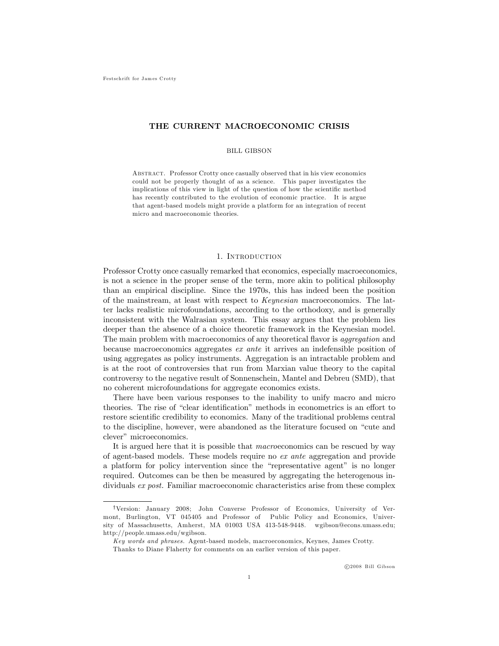#### THE CURRENT MACROECONOMIC CRISIS

#### BILL GIBSON

Abstract. Professor Crotty once casually observed that in his view economics could not be properly thought of as a science. This paper investigates the implications of this view in light of the question of how the scientific method has recently contributed to the evolution of economic practice. It is argue that agent-based models might provide a platform for an integration of recent micro and macroeconomic theories.

#### 1. Introduction

Professor Crotty once casually remarked that economics, especially macroeconomics, is not a science in the proper sense of the term, more akin to political philosophy than an empirical discipline. Since the 1970s, this has indeed been the position of the mainstream, at least with respect to Keynesian macroeconomics. The latter lacks realistic microfoundations, according to the orthodoxy, and is generally inconsistent with the Walrasian system. This essay argues that the problem lies deeper than the absence of a choice theoretic framework in the Keynesian model. The main problem with macroeconomics of any theoretical flavor is *aggregation* and because macroeconomics aggregates ex ante it arrives an indefensible position of using aggregates as policy instruments. Aggregation is an intractable problem and is at the root of controversies that run from Marxian value theory to the capital controversy to the negative result of Sonnenschein, Mantel and Debreu (SMD), that no coherent microfoundations for aggregate economics exists.

There have been various responses to the inability to unify macro and micro theories. The rise of "clear identification" methods in econometrics is an effort to restore scientific credibility to economics. Many of the traditional problems central to the discipline, however, were abandoned as the literature focused on "cute and clever" microeconomics.

It is argued here that it is possible that macroeconomics can be rescued by way of agent-based models. These models require no ex ante aggregation and provide a platform for policy intervention since the "representative agent" is no longer required. Outcomes can be then be measured by aggregating the heterogenous individuals ex post. Familiar macroeconomic characteristics arise from these complex

<sup>&</sup>lt;sup>†</sup>Version: January 2008; John Converse Professor of Economics, University of Vermont, Burlington, VT 045405 and Professor of Public Policy and Economics, University of Massachusetts, Amherst, MA 01003 USA 413-548-9448. wgibson@econs.umass.edu; http://people.umass.edu/wgibson.

Key words and phrases. Agent-based models, macroeconomics, Keynes, James Crotty.

Thanks to Diane Flaherty for comments on an earlier version of this paper.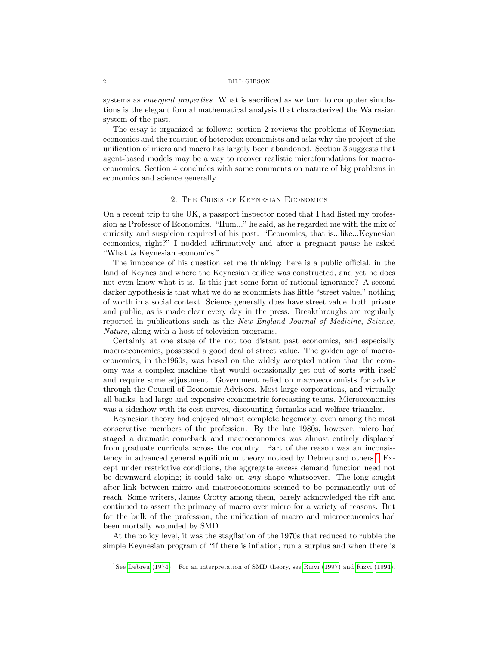#### 2 B ILL G IBSON

systems as *emergent properties*. What is sacrificed as we turn to computer simulations is the elegant formal mathematical analysis that characterized the Walrasian system of the past.

The essay is organized as follows: section 2 reviews the problems of Keynesian economics and the reaction of heterodox economists and asks why the project of the unification of micro and macro has largely been abandoned. Section 3 suggests that agent-based models may be a way to recover realistic microfoundations for macroeconomics. Section 4 concludes with some comments on nature of big problems in economics and science generally.

#### 2. The Crisis of Keynesian Economics

On a recent trip to the UK, a passport inspector noted that I had listed my profession as Professor of Economics. "Hum..." he said, as he regarded me with the mix of curiosity and suspicion required of his post. "Economics, that is...like...Keynesian economics, right?" I nodded affirmatively and after a pregnant pause he asked "What is Keynesian economics."

The innocence of his question set me thinking: here is a public official, in the land of Keynes and where the Keynesian edifice was constructed, and yet he does not even know what it is. Is this just some form of rational ignorance? A second darker hypothesis is that what we do as economists has little "street value," nothing of worth in a social context. Science generally does have street value, both private and public, as is made clear every day in the press. Breakthroughs are regularly reported in publications such as the New England Journal of Medicine, Science, Nature, along with a host of television programs.

Certainly at one stage of the not too distant past economics, and especially macroeconomics, possessed a good deal of street value. The golden age of macroeconomics, in the1960s, was based on the widely accepted notion that the economy was a complex machine that would occasionally get out of sorts with itself and require some adjustment. Government relied on macroeconomists for advice through the Council of Economic Advisors. Most large corporations, and virtually all banks, had large and expensive econometric forecasting teams. Microeconomics was a sideshow with its cost curves, discounting formulas and welfare triangles.

Keynesian theory had enjoyed almost complete hegemony, even among the most conservative members of the profession. By the late 1980s, however, micro had staged a dramatic comeback and macroeconomics was almost entirely displaced from graduate curricula across the country. Part of the reason was an inconsis-tency in advanced general equilibrium theory noticed by Debreu and others.<sup>[1](#page-3-0)</sup> Except under restrictive conditions, the aggregate excess demand function need not be downward sloping; it could take on any shape whatsoever. The long sought after link between micro and macroeconomics seemed to be permanently out of reach. Some writers, James Crotty among them, barely acknowledged the rift and continued to assert the primacy of macro over micro for a variety of reasons. But for the bulk of the profession, the unification of macro and microeconomics had been mortally wounded by SMD.

At the policy level, it was the stagflation of the 1970s that reduced to rubble the simple Keynesian program of "if there is inflation, run a surplus and when there is

<span id="page-3-0"></span><sup>&</sup>lt;sup>1</sup>See [Debreu](#page-13-0) [\(1974\)](#page-13-0). For an interpretation of SMD theory, see [Rizvi](#page-13-1) [\(1997\)](#page-14-0) and Rizvi [\(1994\)](#page-13-1).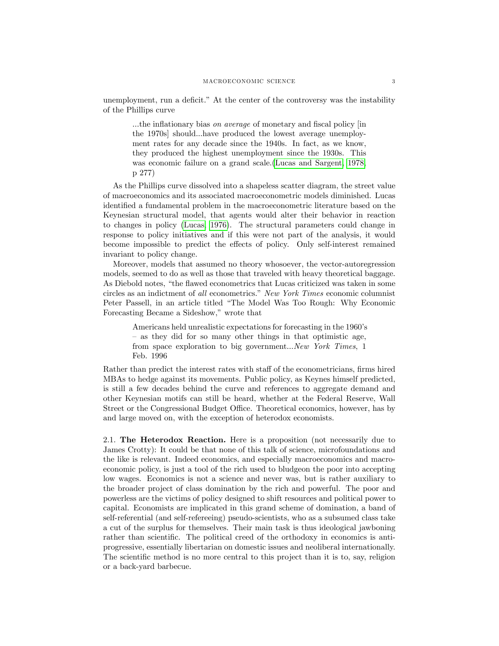unemployment, run a deficit." At the center of the controversy was the instability of the Phillips curve

...the inflationary bias on average of monetary and fiscal policy [in]... the 1970s] should...have produced the lowest average unemployment rates for any decade since the 1940s. In fact, as we know, they produced the highest unemployment since the 1930s. This was economic failure on a grand scale.[\(Lucas and Sargent, 1978,](#page-13-2) p 277)

As the Phillips curve dissolved into a shapeless scatter diagram, the street value of macroeconomics and its associated macroeconometric models diminished. Lucas identified a fundamental problem in the macroeconometric literature based on the Keynesian structural model, that agents would alter their behavior in reaction to changes in policy [\(Lucas, 1976\)](#page-13-3). The structural parameters could change in response to policy initiatives and if this were not part of the analysis, it would become impossible to predict the effects of policy. Only self-interest remained invariant to policy change.

Moreover, models that assumed no theory whosoever, the vector-autoregression models, seemed to do as well as those that traveled with heavy theoretical baggage. As Diebold notes, "the flawed econometrics that Lucas criticized was taken in some circles as an indictment of all econometrics." New York Times economic columnist Peter Passell, in an article titled "The Model Was Too Rough: Why Economic Forecasting Became a Sideshow," wrote that

Americans held unrealistic expectations for forecasting in the 1960's – as they did for so many other things in that optimistic age, from space exploration to big government...New York Times, 1 Feb. 1996

Rather than predict the interest rates with staff of the econometricians, firms hired MBAs to hedge against its movements. Public policy, as Keynes himself predicted, is still a few decades behind the curve and references to aggregate demand and other Keynesian motifs can still be heard, whether at the Federal Reserve, Wall Street or the Congressional Budget Office. Theoretical economics, however, has by and large moved on, with the exception of heterodox economists.

2.1. The Heterodox Reaction. Here is a proposition (not necessarily due to James Crotty): It could be that none of this talk of science, microfoundations and the like is relevant. Indeed economics, and especially macroeconomics and macroeconomic policy, is just a tool of the rich used to bludgeon the poor into accepting low wages. Economics is not a science and never was, but is rather auxiliary to the broader project of class domination by the rich and powerful. The poor and powerless are the victims of policy designed to shift resources and political power to capital. Economists are implicated in this grand scheme of domination, a band of self-referential (and self-refereeing) pseudo-scientists, who as a subsumed class take a cut of the surplus for themselves. Their main task is thus ideological jawboning rather than scientific. The political creed of the orthodoxy in economics is antiprogressive, essentially libertarian on domestic issues and neoliberal internationally. The scientific method is no more central to this project than it is to, say, religion or a back-yard barbecue.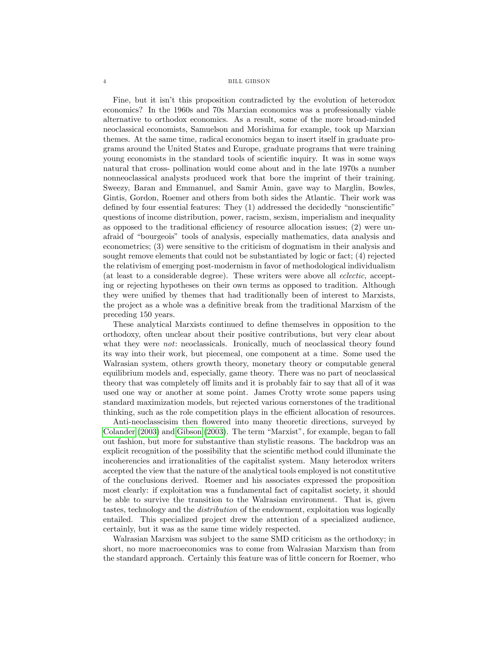#### 4 B ILL G IBSON

Fine, but it isn't this proposition contradicted by the evolution of heterodox economics? In the 1960s and 70s Marxian economics was a professionally viable alternative to orthodox economics. As a result, some of the more broad-minded neoclassical economists, Samuelson and Morishima for example, took up Marxian themes. At the same time, radical economics began to insert itself in graduate programs around the United States and Europe, graduate programs that were training young economists in the standard tools of scientific inquiry. It was in some ways natural that cross- pollination would come about and in the late 1970s a number nonneoclassical analysts produced work that bore the imprint of their training. Sweezy, Baran and Emmanuel, and Samir Amin, gave way to Marglin, Bowles, Gintis, Gordon, Roemer and others from both sides the Atlantic. Their work was defined by four essential features: They  $(1)$  addressed the decidedly "nonscientific" questions of income distribution, power, racism, sexism, imperialism and inequality as opposed to the traditional efficiency of resource allocation issues;  $(2)$  were unafraid of "bourgeois" tools of analysis, especially mathematics, data analysis and econometrics; (3) were sensitive to the criticism of dogmatism in their analysis and sought remove elements that could not be substantiated by logic or fact; (4) rejected the relativism of emerging post-modernism in favor of methodological individualism (at least to a considerable degree). These writers were above all eclectic, accepting or rejecting hypotheses on their own terms as opposed to tradition. Although they were unified by themes that had traditionally been of interest to Marxists, the project as a whole was a definitive break from the traditional Marxism of the preceding 150 years.

These analytical Marxists continued to define themselves in opposition to the orthodoxy, often unclear about their positive contributions, but very clear about what they were *not*: neoclassicals. Ironically, much of neoclassical theory found its way into their work, but piecemeal, one component at a time. Some used the Walrasian system, others growth theory, monetary theory or computable general equilibrium models and, especially, game theory. There was no part of neoclassical theory that was completely off limits and it is probably fair to say that all of it was used one way or another at some point. James Crotty wrote some papers using standard maximization models, but rejected various cornerstones of the traditional thinking, such as the role competition plays in the efficient allocation of resources.

Anti-neoclasscisim then flowered into many theoretic directions, surveyed by [Colander](#page-12-0)  $(2003)$  and [Gibson](#page-13-4)  $(2003)$ . The term "Marxist", for example, began to fall out fashion, but more for substantive than stylistic reasons. The backdrop was an explicit recognition of the possibility that the scientific method could illuminate the incoherencies and irrationalities of the capitalist system. Many heterodox writers accepted the view that the nature of the analytical tools employed is not constitutive of the conclusions derived. Roemer and his associates expressed the proposition most clearly: if exploitation was a fundamental fact of capitalist society, it should be able to survive the transition to the Walrasian environment. That is, given tastes, technology and the distribution of the endowment, exploitation was logically entailed. This specialized project drew the attention of a specialized audience, certainly, but it was as the same time widely respected.

Walrasian Marxism was subject to the same SMD criticism as the orthodoxy; in short, no more macroeconomics was to come from Walrasian Marxism than from the standard approach. Certainly this feature was of little concern for Roemer, who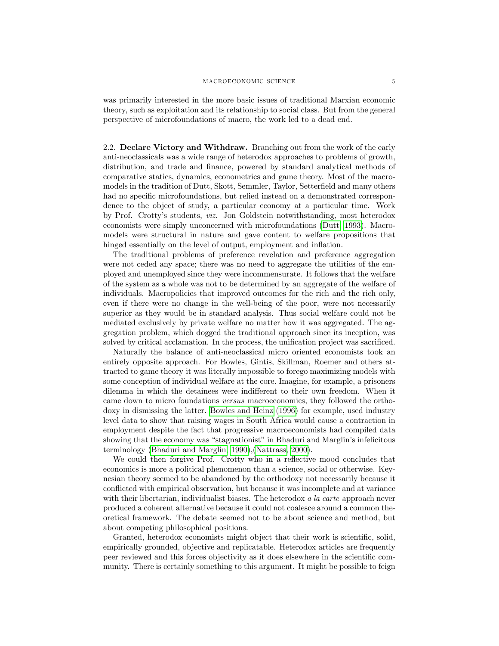#### MACROECONOMIC SCIENCE 5

was primarily interested in the more basic issues of traditional Marxian economic theory, such as exploitation and its relationship to social class. But from the general perspective of microfoundations of macro, the work led to a dead end.

2.2. Declare Victory and Withdraw. Branching out from the work of the early anti-neoclassicals was a wide range of heterodox approaches to problems of growth, distribution, and trade and finance, powered by standard analytical methods of comparative statics, dynamics, econometrics and game theory. Most of the macromodels in the tradition of Dutt, Skott, Semmler, Taylor, Setterfield and many others had no specific microfoundations, but relied instead on a demonstrated correspondence to the object of study, a particular economy at a particular time. Work by Prof. Crottyís students, viz. Jon Goldstein notwithstanding, most heterodox economists were simply unconcerned with microfoundations [\(Dutt, 1993\)](#page-13-5). Macromodels were structural in nature and gave content to welfare propositions that hinged essentially on the level of output, employment and inflation.

The traditional problems of preference revelation and preference aggregation were not ceded any space; there was no need to aggregate the utilities of the employed and unemployed since they were incommensurate. It follows that the welfare of the system as a whole was not to be determined by an aggregate of the welfare of individuals. Macropolicies that improved outcomes for the rich and the rich only, even if there were no change in the well-being of the poor, were not necessarily superior as they would be in standard analysis. Thus social welfare could not be mediated exclusively by private welfare no matter how it was aggregated. The aggregation problem, which dogged the traditional approach since its inception, was solved by critical acclamation. In the process, the unification project was sacrificed.

Naturally the balance of anti-neoclassical micro oriented economists took an entirely opposite approach. For Bowles, Gintis, Skillman, Roemer and others attracted to game theory it was literally impossible to forego maximizing models with some conception of individual welfare at the core. Imagine, for example, a prisoners dilemma in which the detainees were indifferent to their own freedom. When it came down to micro foundations versus macroeconomics, they followed the orthodoxy in dismissing the latter. [Bowles and Heinz](#page-12-1) [\(1996\)](#page-12-1) for example, used industry level data to show that raising wages in South Africa would cause a contraction in employment despite the fact that progressive macroeconomists had compiled data showing that the economy was "stagnationist" in Bhaduri and Marglin's infelicitous terminology [\(Bhaduri and Marglin, 1990\)](#page-12-2),[\(Nattrass, 2000\)](#page-13-6).

We could then forgive Prof. Crotty who in a reflective mood concludes that economics is more a political phenomenon than a science, social or otherwise. Keynesian theory seemed to be abandoned by the orthodoxy not necessarily because it conflicted with empirical observation, but because it was incomplete and at variance with their libertarian, individualist biases. The heterodox a la carte approach never produced a coherent alternative because it could not coalesce around a common theoretical framework. The debate seemed not to be about science and method, but about competing philosophical positions.

Granted, heterodox economists might object that their work is scientific, solid, empirically grounded, objective and replicatable. Heterodox articles are frequently peer reviewed and this forces objectivity as it does elsewhere in the scientific community. There is certainly something to this argument. It might be possible to feign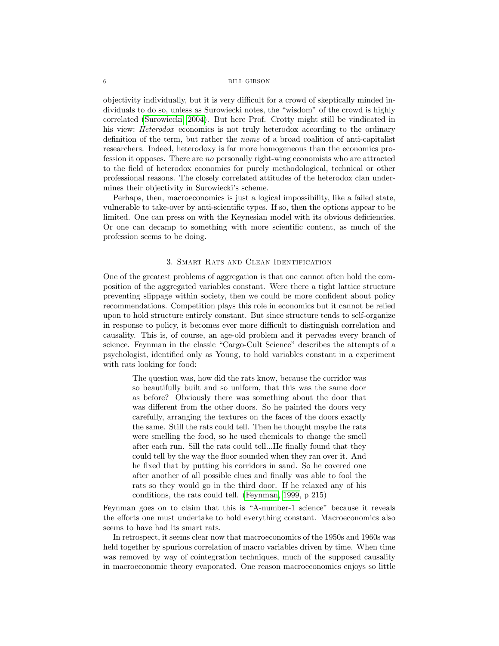#### 6 BILL GIBSON

objectivity individually, but it is very difficult for a crowd of skeptically minded individuals to do so, unless as Surowiecki notes, the "wisdom" of the crowd is highly correlated [\(Surowiecki, 2004\)](#page-14-1). But here Prof. Crotty might still be vindicated in his view: *Heterodox* economics is not truly heterodox according to the ordinary definition of the term, but rather the *name* of a broad coalition of anti-capitalist researchers. Indeed, heterodoxy is far more homogeneous than the economics profession it opposes. There are no personally right-wing economists who are attracted to the field of heterodox economics for purely methodological, technical or other professional reasons. The closely correlated attitudes of the heterodox clan undermines their objectivity in Surowiecki's scheme.

Perhaps, then, macroeconomics is just a logical impossibility, like a failed state, vulnerable to take-over by anti-scientific types. If so, then the options appear to be limited. One can press on with the Keynesian model with its obvious deficiencies. Or one can decamp to something with more scientific content, as much of the profession seems to be doing.

#### 3. Smart Rats and Clean Identification

One of the greatest problems of aggregation is that one cannot often hold the composition of the aggregated variables constant. Were there a tight lattice structure preventing slippage within society, then we could be more confident about policy recommendations. Competition plays this role in economics but it cannot be relied upon to hold structure entirely constant. But since structure tends to self-organize in response to policy, it becomes ever more difficult to distinguish correlation and causality. This is, of course, an age-old problem and it pervades every branch of science. Feynman in the classic "Cargo-Cult Science" describes the attempts of a psychologist, identiÖed only as Young, to hold variables constant in a experiment with rats looking for food:

The question was, how did the rats know, because the corridor was so beautifully built and so uniform, that this was the same door as before? Obviously there was something about the door that was different from the other doors. So he painted the doors very carefully, arranging the textures on the faces of the doors exactly the same. Still the rats could tell. Then he thought maybe the rats were smelling the food, so he used chemicals to change the smell after each run. Sill the rats could tell...He finally found that they could tell by the way the floor sounded when they ran over it. And he fixed that by putting his corridors in sand. So he covered one after another of all possible clues and finally was able to fool the rats so they would go in the third door. If he relaxed any of his conditions, the rats could tell. [\(Feynman, 1999,](#page-13-7) p 215)

Feynman goes on to claim that this is "A-number-1 science" because it reveals the efforts one must undertake to hold everything constant. Macroeconomics also seems to have had its smart rats.

In retrospect, it seems clear now that macroeconomics of the 1950s and 1960s was held together by spurious correlation of macro variables driven by time. When time was removed by way of cointegration techniques, much of the supposed causality in macroeconomic theory evaporated. One reason macroeconomics enjoys so little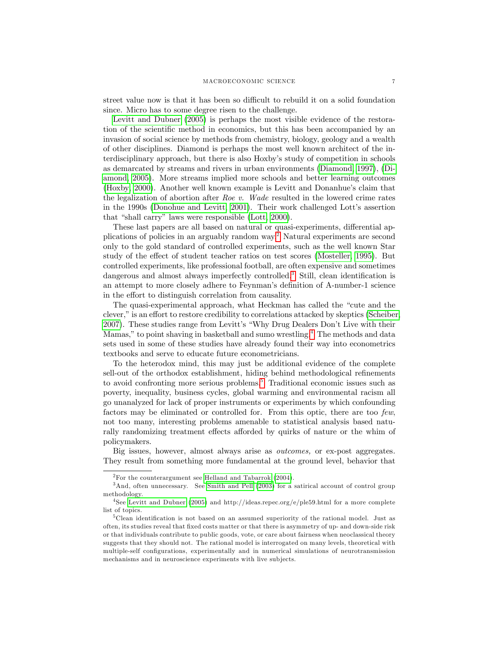street value now is that it has been so difficult to rebuild it on a solid foundation since. Micro has to some degree risen to the challenge.

[Levitt and Dubner](#page-13-8) [\(2005\)](#page-13-8) is perhaps the most visible evidence of the restoration of the scientific method in economics, but this has been accompanied by an invasion of social science by methods from chemistry, biology, geology and a wealth of other disciplines. Diamond is perhaps the most well known architect of the interdisciplinary approach, but there is also Hoxby's study of competition in schools as demarcated by streams and rivers in urban environments [\(Diamond, 1997\)](#page-13-9), [\(Di](#page-13-10)[amond, 2005\)](#page-13-10). More streams implied more schools and better learning outcomes [\(Hoxby, 2000\)](#page-13-11). Another well known example is Levitt and Donanhueís claim that the legalization of abortion after Roe v. Wade resulted in the lowered crime rates in the 1990s [\(Donohue and Levitt, 2001\)](#page-13-12). Their work challenged Lott's assertion that "shall carry" laws were responsible (Lott,  $2000$ ).

These last papers are all based on natural or quasi-experiments, differential applications of policies in an arguably random way.[2](#page-8-0) Natural experiments are second only to the gold standard of controlled experiments, such as the well known Star study of the effect of student teacher ratios on test scores [\(Mosteller, 1995\)](#page-13-14). But controlled experiments, like professional football, are often expensive and sometimes dangerous and almost always imperfectly controlled.<sup>[3](#page-8-1)</sup> Still, clean identification is an attempt to more closely adhere to Feynman's definition of A-number-1 science in the effort to distinguish correlation from causality.

The quasi-experimental approach, what Heckman has called the "cute and the clever," is an effort to restore credibility to correlations attacked by skeptics [\(Scheiber,](#page-14-2) [2007\)](#page-14-2). These studies range from Levitt's "Why Drug Dealers Don't Live with their Mamas," to point shaving in basketball and sumo wrestling.<sup>[4](#page-8-2)</sup> The methods and data sets used in some of these studies have already found their way into econometrics textbooks and serve to educate future econometricians.

To the heterodox mind, this may just be additional evidence of the complete sell-out of the orthodox establishment, hiding behind methodological refinements to avoid confronting more serious problems.<sup>[5](#page-8-3)</sup> Traditional economic issues such as poverty, inequality, business cycles, global warming and environmental racism all go unanalyzed for lack of proper instruments or experiments by which confounding factors may be eliminated or controlled for. From this optic, there are too few, not too many, interesting problems amenable to statistical analysis based naturally randomizing treatment effects afforded by quirks of nature or the whim of policymakers.

Big issues, however, almost always arise as outcomes, or ex-post aggregates. They result from something more fundamental at the ground level, behavior that

<span id="page-8-1"></span><span id="page-8-0"></span> ${}^{2}$ For the counterargument see [Helland and Tabarrok](#page-13-15) [\(2004\)](#page-13-15).

<sup>&</sup>lt;sup>3</sup>And, often unnecessary. See [Smith and Pell](#page-14-3) [\(2003\)](#page-14-3) for a satirical account of control group methodology.

<span id="page-8-2"></span><sup>4</sup>See [Levitt and Dubner](#page-13-8) [\(2005\)](#page-13-8) and http://ideas.repec.org/e/ple59.html for a more complete list of topics.

<span id="page-8-3"></span><sup>&</sup>lt;sup>5</sup>Clean identification is not based on an assumed superiority of the rational model. Just as often, its studies reveal that Öxed costs matter or that there is asymmetry of up- and down-side risk or that individuals contribute to public goods, vote, or care about fairness when neoclassical theory suggests that they should not. The rational model is interrogated on many levels, theoretical with multiple-self configurations, experimentally and in numerical simulations of neurotransmission mechanisms and in neuroscience experiments with live sub jects.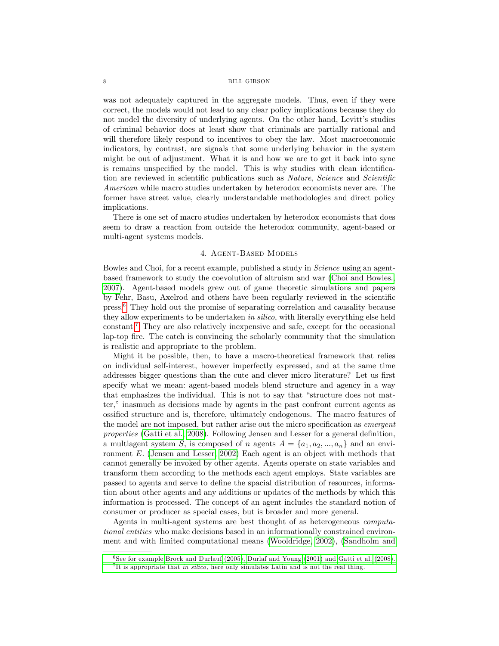#### 8 BILL GIBSON

was not adequately captured in the aggregate models. Thus, even if they were correct, the models would not lead to any clear policy implications because they do not model the diversity of underlying agents. On the other hand, Levitt's studies of criminal behavior does at least show that criminals are partially rational and will therefore likely respond to incentives to obey the law. Most macroeconomic indicators, by contrast, are signals that some underlying behavior in the system might be out of adjustment. What it is and how we are to get it back into sync is remains unspecified by the model. This is why studies with clean identification are reviewed in scientific publications such as Nature, Science and Scientific American while macro studies undertaken by heterodox economists never are. The former have street value, clearly understandable methodologies and direct policy implications.

There is one set of macro studies undertaken by heterodox economists that does seem to draw a reaction from outside the heterodox community, agent-based or multi-agent systems models.

#### 4. Agent-Based Models

Bowles and Choi, for a recent example, published a study in Science using an agentbased framework to study the coevolution of altruism and war [\(Choi and Bowles.,](#page-12-3) [2007\)](#page-12-3). Agent-based models grew out of game theoretic simulations and papers by Fehr, Basu, Axelrod and others have been regularly reviewed in the scientific press.[6](#page-9-0) They hold out the promise of separating correlation and causality because they allow experiments to be undertaken in silico, with literally everything else held constant.[7](#page-9-1) They are also relatively inexpensive and safe, except for the occasional lap-top fire. The catch is convincing the scholarly community that the simulation is realistic and appropriate to the problem.

Might it be possible, then, to have a macro-theoretical framework that relies on individual self-interest, however imperfectly expressed, and at the same time addresses bigger questions than the cute and clever micro literature? Let us first specify what we mean: agent-based models blend structure and agency in a way that emphasizes the individual. This is not to say that "structure does not matter," inasmuch as decisions made by agents in the past confront current agents as ossified structure and is, therefore, ultimately endogenous. The macro features of the model are not imposed, but rather arise out the micro specification as *emergent*  $properties$  [\(Gatti et al., 2008\)](#page-13-16). Following Jensen and Lesser for a general definition, a multiagent system S, is composed of n agents  $A = \{a_1, a_2, ..., a_n\}$  and an envi-ronment E. [\(Jensen and Lesser, 2002\)](#page-13-17) Each agent is an object with methods that cannot generally be invoked by other agents. Agents operate on state variables and transform them according to the methods each agent employs. State variables are passed to agents and serve to deÖne the spacial distribution of resources, information about other agents and any additions or updates of the methods by which this information is processed. The concept of an agent includes the standard notion of consumer or producer as special cases, but is broader and more general.

Agents in multi-agent systems are best thought of as heterogeneous computational entities who make decisions based in an informationally constrained environment and with limited computational means [\(Wooldridge, 2002\)](#page-14-4), [\(Sandholm and](#page-14-5)

<span id="page-9-0"></span> $6$ [See for example Brock and Durlauf \(2005\), Durlaf and Young \(2001\) and Gatti et al. \(2008\).](#page-14-5)

<span id="page-9-1"></span><sup>&</sup>lt;sup>7</sup>It is appropriate that in silico, [here only simulates Latin and is not the real thing.](#page-14-5)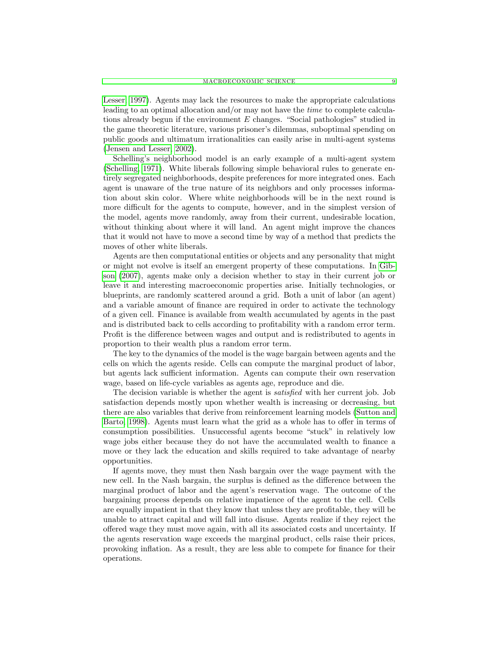[Lesser, 1997\)](#page-14-5). Agents may lack the resources to make the appropriate calculations leading to an optimal allocation and/or may not have the time to complete calculations already begun if the environment  $E$  changes. "Social pathologies" studied in the game theoretic literature, various prisoner's dilemmas, suboptimal spending on public goods and ultimatum irrationalities can easily arise in multi-agent systems [\(Jensen and Lesser, 2002\)](#page-13-17).

Schelling's neighborhood model is an early example of a multi-agent system [\(Schelling, 1971\)](#page-14-6). White liberals following simple behavioral rules to generate entirely segregated neighborhoods, despite preferences for more integrated ones. Each agent is unaware of the true nature of its neighbors and only processes information about skin color. Where white neighborhoods will be in the next round is more difficult for the agents to compute, however, and in the simplest version of the model, agents move randomly, away from their current, undesirable location, without thinking about where it will land. An agent might improve the chances that it would not have to move a second time by way of a method that predicts the moves of other white liberals.

Agents are then computational entities or objects and any personality that might or might not evolve is itself an emergent property of these computations. In [Gib](#page-13-19)[son](#page-13-19) [\(2007\)](#page-13-19), agents make only a decision whether to stay in their current job or leave it and interesting macroeconomic properties arise. Initially technologies, or blueprints, are randomly scattered around a grid. Both a unit of labor (an agent) and a variable amount of finance are required in order to activate the technology of a given cell. Finance is available from wealth accumulated by agents in the past and is distributed back to cells according to profitability with a random error term. Profit is the difference between wages and output and is redistributed to agents in proportion to their wealth plus a random error term.

The key to the dynamics of the model is the wage bargain between agents and the cells on which the agents reside. Cells can compute the marginal product of labor, but agents lack sufficient information. Agents can compute their own reservation wage, based on life-cycle variables as agents age, reproduce and die.

The decision variable is whether the agent is *satisfied* with her current job. Job satisfaction depends mostly upon whether wealth is increasing or decreasing, but there are also variables that derive from reinforcement learning models [\(Sutton and](#page-14-7) [Barto, 1998\)](#page-14-7). Agents must learn what the grid as a whole has to offer in terms of consumption possibilities. Unsuccessful agents become "stuck" in relatively low wage jobs either because they do not have the accumulated wealth to finance a move or they lack the education and skills required to take advantage of nearby opportunities.

If agents move, they must then Nash bargain over the wage payment with the new cell. In the Nash bargain, the surplus is defined as the difference between the marginal product of labor and the agent's reservation wage. The outcome of the bargaining process depends on relative impatience of the agent to the cell. Cells are equally impatient in that they know that unless they are profitable, they will be unable to attract capital and will fall into disuse. Agents realize if they reject the offered wage they must move again, with all its associated costs and uncertainty. If the agents reservation wage exceeds the marginal product, cells raise their prices, provoking inflation. As a result, they are less able to compete for finance for their operations.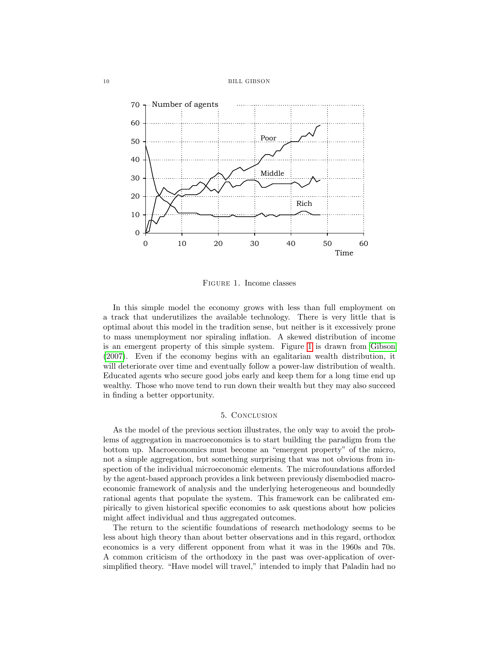#### ${\large\bf BILL GIBSON}$



<span id="page-11-0"></span>Figure 1. Income classes

In this simple model the economy grows with less than full employment on a track that underutilizes the available technology. There is very little that is optimal about this model in the tradition sense, but neither is it excessively prone to mass unemployment nor spiraling inflation. A skewed distribution of income is an emergent property of this simple system. Figure [1](#page-11-0) is drawn from [Gibson](#page-13-19) [\(2007\)](#page-13-19). Even if the economy begins with an egalitarian wealth distribution, it will deteriorate over time and eventually follow a power-law distribution of wealth. Educated agents who secure good jobs early and keep them for a long time end up wealthy. Those who move tend to run down their wealth but they may also succeed in finding a better opportunity.

#### 5. Conclusion

As the model of the previous section illustrates, the only way to avoid the problems of aggregation in macroeconomics is to start building the paradigm from the bottom up. Macroeconomics must become an "emergent property" of the micro, not a simple aggregation, but something surprising that was not obvious from inspection of the individual microeconomic elements. The microfoundations afforded by the agent-based approach provides a link between previously disembodied macroeconomic framework of analysis and the underlying heterogeneous and boundedly rational agents that populate the system. This framework can be calibrated empirically to given historical specific economies to ask questions about how policies might affect individual and thus aggregated outcomes.

The return to the scientific foundations of research methodology seems to be less about high theory than about better observations and in this regard, orthodox economics is a very different opponent from what it was in the 1960s and 70s. A common criticism of the orthodoxy in the past was over-application of oversimplified theory. "Have model will travel," intended to imply that Paladin had no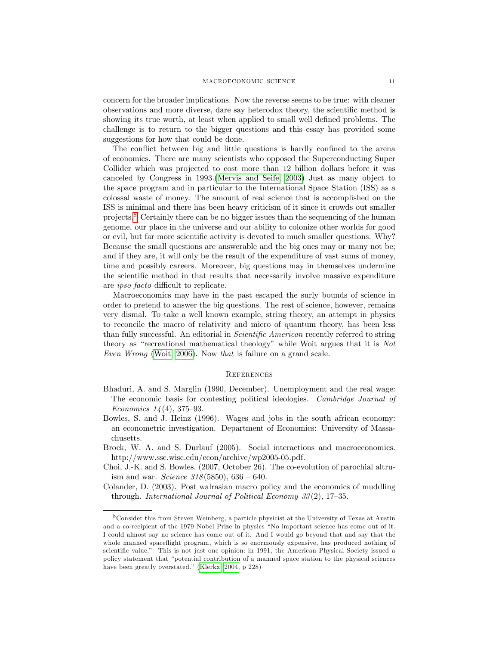concern for the broader implications. Now the reverse seems to be true: with cleaner observations and more diverse, dare say heterodox theory, the scientific method is showing its true worth, at least when applied to small well defined problems. The challenge is to return to the bigger questions and this essay has provided some suggestions for how that could be done.

The conflict between big and little questions is hardly confined to the arena of economics. There are many scientists who opposed the Superconducting Super Collider which was projected to cost more than 12 billion dollars before it was canceled by Congress in 1993.[\(Mervis and Seife, 2003\)](#page-13-20) Just as many object to the space program and in particular to the International Space Station (ISS) as a colossal waste of money. The amount of real science that is accomplished on the ISS is minimal and there has been heavy criticism of it since it crowds out smaller projects.[8](#page-12-5) Certainly there can be no bigger issues than the sequencing of the human genome, our place in the universe and our ability to colonize other worlds for good or evil, but far more scientific activity is devoted to much smaller questions. Why? Because the small questions are answerable and the big ones may or many not be; and if they are, it will only be the result of the expenditure of vast sums of money, time and possibly careers. Moreover, big questions may in themselves undermine the scientific method in that results that necessarily involve massive expenditure are *ipso facto* difficult to replicate.

Macroeconomics may have in the past escaped the surly bounds of science in order to pretend to answer the big questions. The rest of science, however, remains very dismal. To take a well known example, string theory, an attempt in physics to reconcile the macro of relativity and micro of quantum theory, has been less than fully successful. An editorial in *Scientific American* recently referred to string theory as "recreational mathematical theology" while Woit argues that it is  $Not$ Even Wrong [\(Woit, 2006\)](#page-14-8). Now that is failure on a grand scale.

#### **REFERENCES**

- <span id="page-12-2"></span>Bhaduri, A. and S. Marglin (1990, December). Unemployment and the real wage: The economic basis for contesting political ideologies. Cambridge Journal of Economics  $14(4)$ , 375–93.
- <span id="page-12-1"></span>Bowles, S. and J. Heinz (1996). Wages and jobs in the south african economy: an econometric investigation. Department of Economics: University of Massachusetts.
- <span id="page-12-4"></span>Brock, W. A. and S. Durlauf (2005). Social interactions and macroeconomics. http://www.ssc.wisc.edu/econ/archive/wp2005-05.pdf.
- <span id="page-12-3"></span>Choi, J.-K. and S. Bowles. (2007, October 26). The co-evolution of parochial altruism and war. *Science*  $318(5850)$ ,  $636 - 640$ .
- <span id="page-12-0"></span>Colander, D. (2003). Post walrasian macro policy and the economics of muddling through. International Journal of Political Economy  $33(2)$ , 17-35.

<span id="page-12-5"></span><sup>8</sup>Consider this from Steven Weinberg, a particle physicist at the University of Texas at Austin and a co-recipient of the 1979 Nobel Prize in physics "No important science has come out of it. I could almost say no science has come out of it. And I would go beyond that and say that the whole manned spaceflight program, which is so enormously expensive, has produced nothing of scientific value." This is not just one opinion: in 1991, the American Physical Society issued a policy statement that "potential contribution of a manned space station to the physical sciences have been greatly overstated." [\(Klerkx, 2004,](#page-13-21) p 228)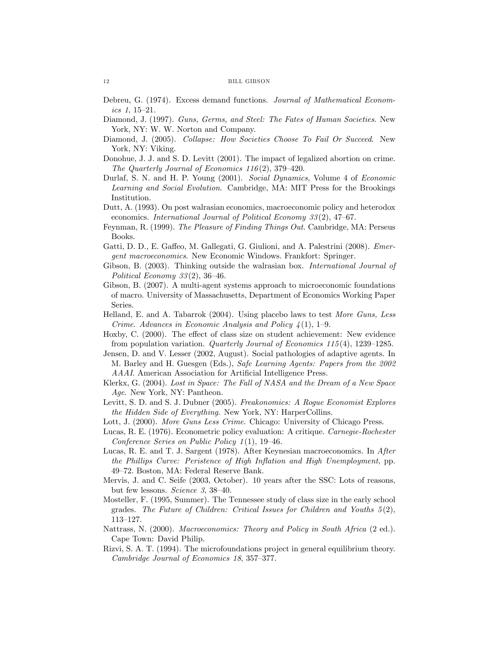- <span id="page-13-0"></span>Debreu, G. (1974). Excess demand functions. Journal of Mathematical Economics  $1, 15-21.$
- <span id="page-13-9"></span>Diamond, J. (1997). Guns, Germs, and Steel: The Fates of Human Societies. New York, NY: W. W. Norton and Company.
- <span id="page-13-10"></span>Diamond, J. (2005). Collapse: How Societies Choose To Fail Or Succeed. New York, NY: Viking.
- <span id="page-13-12"></span>Donohue, J. J. and S. D. Levitt (2001). The impact of legalized abortion on crime. The Quarterly Journal of Economics  $116(2)$ , 379-420.
- <span id="page-13-18"></span>Durlaf, S. N. and H. P. Young (2001). Social Dynamics, Volume 4 of Economic Learning and Social Evolution. Cambridge, MA: MIT Press for the Brookings Institution.
- <span id="page-13-5"></span>Dutt, A. (1993). On post walrasian economics, macroeconomic policy and heterodox economics. International Journal of Political Economy  $33(2)$ , 47-67.
- <span id="page-13-7"></span>Feynman, R. (1999). The Pleasure of Finding Things Out. Cambridge, MA: Perseus Books.
- <span id="page-13-16"></span>Gatti, D. D., E. Gaffeo, M. Gallegati, G. Giulioni, and A. Palestrini (2008). *Emer*gent macroeconomics. New Economic Windows. Frankfort: Springer.
- <span id="page-13-4"></span>Gibson, B. (2003). Thinking outside the walrasian box. International Journal of Political Economy  $33(2)$ , 36-46.
- <span id="page-13-19"></span>Gibson, B. (2007). A multi-agent systems approach to microeconomic foundations of macro. University of Massachusetts, Department of Economics Working Paper Series.
- <span id="page-13-15"></span>Helland, E. and A. Tabarrok (2004). Using placebo laws to test More Guns, Less Crime. Advances in Economic Analysis and Policy  $\lambda(1)$ , 1–9.
- <span id="page-13-11"></span>Hoxby, C. (2000). The effect of class size on student achievement: New evidence from population variation. *Quarterly Journal of Economics*  $115(4)$ , 1239–1285.
- <span id="page-13-17"></span>Jensen, D. and V. Lesser (2002, August). Social pathologies of adaptive agents. In M. Barley and H. Guesgen (Eds.), Safe Learning Agents: Papers from the 2002 AAAI. American Association for Artificial Intelligence Press.
- <span id="page-13-21"></span>Klerkx, G. (2004). Lost in Space: The Fall of NASA and the Dream of a New Space Age. New York, NY: Pantheon.
- <span id="page-13-8"></span>Levitt, S. D. and S. J. Dubner (2005). Freakonomics: A Rogue Economist Explores the Hidden Side of Everything. New York, NY: HarperCollins.
- <span id="page-13-13"></span>Lott, J. (2000). More Guns Less Crime. Chicago: University of Chicago Press.
- <span id="page-13-3"></span>Lucas, R. E. (1976). Econometric policy evaluation: A critique. Carnegie-Rochester Conference Series on Public Policy  $1(1)$ , 19-46.
- <span id="page-13-2"></span>Lucas, R. E. and T. J. Sargent (1978). After Keynesian macroeconomics. In After the Phillips Curve: Peristence of High Inflation and High Unemployment, pp. 49–72. Boston, MA: Federal Reserve Bank.
- <span id="page-13-20"></span>Mervis, J. and C. Seife (2003, October). 10 years after the SSC: Lots of reasons, but few lessons. Science  $3, 38-40$ .
- <span id="page-13-14"></span>Mosteller, F. (1995, Summer). The Tennessee study of class size in the early school grades. The Future of Children: Critical Issues for Children and Youths  $5(2)$ , 113-127.
- <span id="page-13-6"></span>Nattrass, N. (2000). Macroeconomics: Theory and Policy in South Africa (2 ed.). Cape Town: David Philip.
- <span id="page-13-1"></span>Rizvi, S. A. T. (1994). The microfoundations project in general equilibrium theory. Cambridge Journal of Economics 18, 357-377.